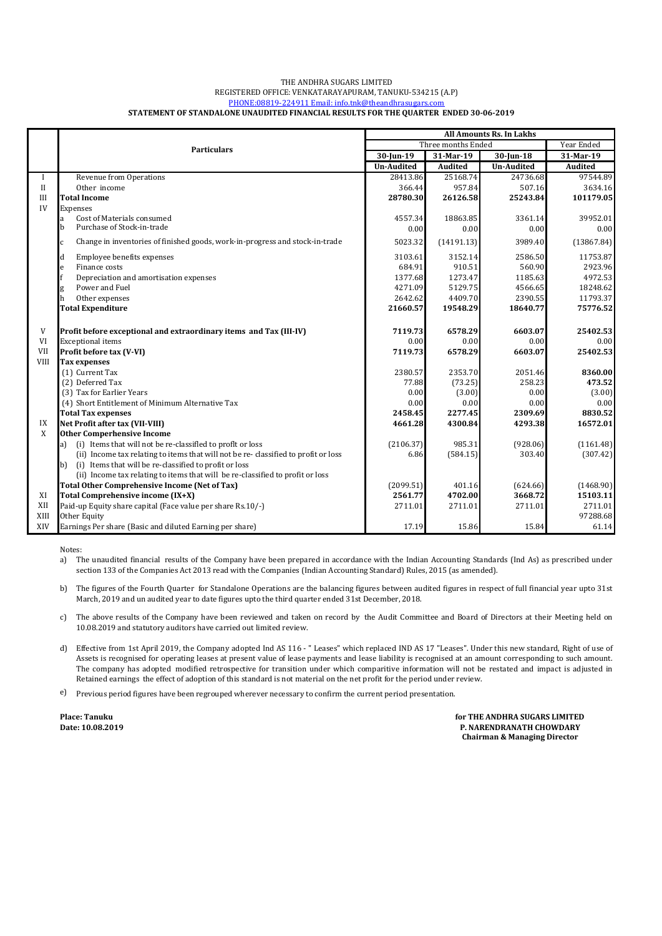#### THE ANDHRA SUGARS LIMITED REGISTERED OFFICE: VENKATARAYAPURAM, TANUKU-534215 (A.P) [P](mailto:info.tnk@the)HONE:08819-224911 Email: info.tnk@theandhrasugars.com **STATEMENT OF STANDALONE UNAUDITED FINANCIAL RESULTS FOR THE QUARTER ENDED 30-06-2019**

|              |                                                                                    | <b>All Amounts Rs. In Lakhs</b> |                |                   |                |
|--------------|------------------------------------------------------------------------------------|---------------------------------|----------------|-------------------|----------------|
|              | <b>Particulars</b>                                                                 | Three months Ended              |                |                   | Year Ended     |
|              |                                                                                    | 30-Jun-19                       | 31-Mar-19      | 30-Jun-18         | 31-Mar-19      |
|              |                                                                                    | <b>Un-Audited</b>               | <b>Audited</b> | <b>Un-Audited</b> | <b>Audited</b> |
| $\mathbf I$  | Revenue from Operations                                                            | 28413.86                        | 25168.74       | 24736.68          | 97544.89       |
| $\mathbf{I}$ | Other income                                                                       | 366.44                          | 957.84         | 507.16            | 3634.16        |
| III          | <b>Total Income</b>                                                                | 28780.30                        | 26126.58       | 25243.84          | 101179.05      |
| IV           | Expenses                                                                           |                                 |                |                   |                |
|              | Cost of Materials consumed<br>a                                                    | 4557.34                         | 18863.85       | 3361.14           | 39952.01       |
|              | Purchase of Stock-in-trade<br>b                                                    | 0.00                            | 0.00           | 0.00              | 0.00           |
|              | Change in inventories of finished goods, work-in-progress and stock-in-trade<br>C  | 5023.32                         | (14191.13)     | 3989.40           | (13867.84)     |
|              | Employee benefits expenses<br>d                                                    | 3103.61                         | 3152.14        | 2586.50           | 11753.87       |
|              | Finance costs<br>e                                                                 | 684.91                          | 910.51         | 560.90            | 2923.96        |
|              | Depreciation and amortisation expenses                                             | 1377.68                         | 1273.47        | 1185.63           | 4972.53        |
|              | Power and Fuel<br>g                                                                | 4271.09                         | 5129.75        | 4566.65           | 18248.62       |
|              | h<br>Other expenses                                                                | 2642.62                         | 4409.70        | 2390.55           | 11793.37       |
|              | <b>Total Expenditure</b>                                                           | 21660.57                        | 19548.29       | 18640.77          | 75776.52       |
| V            | Profit before exceptional and extraordinary items and Tax (III-IV)                 | 7119.73                         | 6578.29        | 6603.07           | 25402.53       |
| VI           | <b>Exceptional</b> items                                                           | 0.00                            | 0.00           | 0.00              | 0.00           |
| <b>VII</b>   | Profit before tax (V-VI)                                                           | 7119.73                         | 6578.29        | 6603.07           | 25402.53       |
| <b>VIII</b>  | <b>Tax expenses</b>                                                                |                                 |                |                   |                |
|              | (1) Current Tax                                                                    | 2380.57                         | 2353.70        | 2051.46           | 8360.00        |
|              | (2) Deferred Tax                                                                   | 77.88                           | (73.25)        | 258.23            | 473.52         |
|              | (3) Tax for Earlier Years                                                          | 0.00                            | (3.00)         | 0.00              | (3.00)         |
|              | (4) Short Entitlement of Minimum Alternative Tax                                   | 0.00                            | 0.00           | 0.00              | 0.00           |
|              | <b>Total Tax expenses</b>                                                          | 2458.45                         | 2277.45        | 2309.69           | 8830.52        |
| IX           | Net Profit after tax (VII-VIII)                                                    | 4661.28                         | 4300.84        | 4293.38           | 16572.01       |
| X            | <b>Other Comperhensive Income</b>                                                  |                                 |                |                   |                |
|              | (i) Items that will not be re-classified to profit or loss<br>a)                   | (2106.37)                       | 985.31         | (928.06)          | (1161.48)      |
|              | (ii) Income tax relating to items that will not be re-classified to profit or loss | 6.86                            | (584.15)       | 303.40            | (307.42)       |
|              | (i) Items that will be re-classified to profit or loss<br>b)                       |                                 |                |                   |                |
|              | (ii) Income tax relating to items that will be re-classified to profit or loss     |                                 |                |                   |                |
|              | <b>Total Other Comprehensive Income (Net of Tax)</b>                               | (2099.51)                       | 401.16         | (624.66)          | (1468.90)      |
| XI           | Total Comprehensive income (IX+X)                                                  | 2561.77                         | 4702.00        | 3668.72           | 15103.11       |
| XII          | Paid-up Equity share capital (Face value per share Rs.10/-)                        | 2711.01                         | 2711.01        | 2711.01           | 2711.01        |
| XIII         | Other Equity                                                                       |                                 |                |                   | 97288.68       |
| XIV          | Earnings Per share (Basic and diluted Earning per share)                           | 17.19                           | 15.86          | 15.84             | 61.14          |

Notes:

a) The unaudited financial results of the Company have been prepared in accordance with the Indian Accounting Standards (Ind As) as prescribed under section 133 of the Companies Act 2013 read with the Companies (Indian Accounting Standard) Rules, 2015 (as amended).

b) The figures of the Fourth Quarter for Standalone Operations are the balancing figures between audited figures in respect of full financial year upto 31st March, 2019 and un audited year to date figures upto the third quarter ended 31st December, 2018.

c) The above results of the Company have been reviewed and taken on record by the Audit Committee and Board of Directors at their Meeting held on 10.08.2019 and statutory auditors have carried out limited review.

d) Effective from 1st April 2019, the Company adopted Ind AS 116 - "Leases" which replaced IND AS 17 "Leases". Under this new standard, Right of use of Assets is recognised for operating leases at present value of lease payments and lease liability is recognised at an amount corresponding to such amount. The company has adopted modified retrospective for transition under which comparitive information will not be restated and impact is adjusted in Retained earnings the effect of adoption of this standard is not material on the net profit for the period under review.

e) Previous period figures have been regrouped wherever necessary to confirm the current period presentation.

**Place: Tanuku Date: 10.08.2019** **for THE ANDHRA SUGARS LIMITED P. NARENDRANATH CHOWDARY Chairman & Managing Director**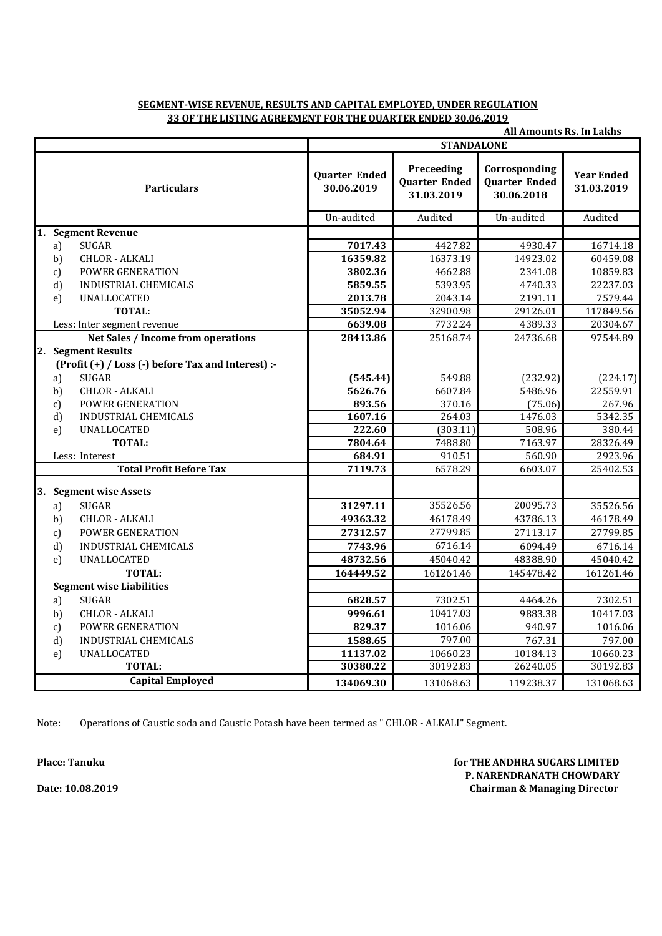# **SEGMENT-WISE REVENUE, RESULTS AND CAPITAL EMPLOYED, UNDER REGULATION 33 OF THE LISTING AGREEMENT FOR THE QUARTER ENDED 30.06.2019**

| <b>All Amounts Rs. In Lakhs</b>                    |                                    |                                                  |                                                     |                                 |  |
|----------------------------------------------------|------------------------------------|--------------------------------------------------|-----------------------------------------------------|---------------------------------|--|
|                                                    | <b>STANDALONE</b>                  |                                                  |                                                     |                                 |  |
| <b>Particulars</b>                                 | <b>Quarter Ended</b><br>30.06.2019 | Preceeding<br><b>Quarter Ended</b><br>31.03.2019 | Corrosponding<br><b>Quarter Ended</b><br>30.06.2018 | <b>Year Ended</b><br>31.03.2019 |  |
|                                                    | Un-audited                         | Audited                                          | Un-audited                                          | Audited                         |  |
| 1. Segment Revenue                                 |                                    |                                                  |                                                     |                                 |  |
| <b>SUGAR</b><br>a)                                 | 7017.43                            | 4427.82                                          | 4930.47                                             | 16714.18                        |  |
| <b>CHLOR - ALKALI</b><br>b)                        | 16359.82                           | 16373.19                                         | 14923.02                                            | 60459.08                        |  |
| <b>POWER GENERATION</b><br>$\mathbf{c}$            | 3802.36                            | 4662.88                                          | 2341.08                                             | 10859.83                        |  |
| d)<br><b>INDUSTRIAL CHEMICALS</b>                  | 5859.55                            | 5393.95                                          | 4740.33                                             | 22237.03                        |  |
| <b>UNALLOCATED</b><br>e)                           | 2013.78                            | 2043.14                                          | 2191.11                                             | 7579.44                         |  |
| <b>TOTAL:</b>                                      | 35052.94                           | 32900.98                                         | 29126.01                                            | 117849.56                       |  |
| Less: Inter segment revenue                        | 6639.08                            | 7732.24                                          | 4389.33                                             | 20304.67                        |  |
| <b>Net Sales / Income from operations</b>          | 28413.86                           | 25168.74                                         | 24736.68                                            | 97544.89                        |  |
| 2. Segment Results                                 |                                    |                                                  |                                                     |                                 |  |
| (Profit (+) / Loss (-) before Tax and Interest) :- |                                    |                                                  |                                                     |                                 |  |
| <b>SUGAR</b><br>a)                                 | (545.44)                           | 549.88                                           | (232.92)                                            | (224.17)                        |  |
| <b>CHLOR - ALKALI</b><br>b)                        | 5626.76                            | 6607.84                                          | 5486.96                                             | 22559.91                        |  |
| <b>POWER GENERATION</b><br>c)                      | 893.56                             | 370.16                                           | (75.06)                                             | 267.96                          |  |
| d)<br>INDUSTRIAL CHEMICALS                         | 1607.16                            | 264.03                                           | 1476.03                                             | 5342.35                         |  |
| UNALLOCATED<br>e)                                  | 222.60                             | (303.11)                                         | 508.96                                              | 380.44                          |  |
| <b>TOTAL:</b>                                      | 7804.64                            | 7488.80                                          | 7163.97                                             | 28326.49                        |  |
| Less: Interest                                     | 684.91                             | 910.51                                           | 560.90                                              | 2923.96                         |  |
| <b>Total Profit Before Tax</b>                     | 7119.73                            | 6578.29                                          | 6603.07                                             | 25402.53                        |  |
| 3. Segment wise Assets                             |                                    |                                                  |                                                     |                                 |  |
| <b>SUGAR</b><br>a)                                 | 31297.11                           | 35526.56                                         | 20095.73                                            | 35526.56                        |  |
| b)<br><b>CHLOR - ALKALI</b>                        | 49363.32                           | 46178.49                                         | 43786.13                                            | 46178.49                        |  |
| POWER GENERATION<br>c)                             | 27312.57                           | 27799.85                                         | 27113.17                                            | 27799.85                        |  |
| d)<br><b>INDUSTRIAL CHEMICALS</b>                  | 7743.96                            | 6716.14                                          | 6094.49                                             | 6716.14                         |  |
| UNALLOCATED<br>e)                                  | 48732.56                           | 45040.42                                         | 48388.90                                            | 45040.42                        |  |
| <b>TOTAL:</b>                                      | 164449.52                          | 161261.46                                        | 145478.42                                           | 161261.46                       |  |
| <b>Segment wise Liabilities</b>                    |                                    |                                                  |                                                     |                                 |  |
| <b>SUGAR</b><br>a)                                 | 6828.57                            | 7302.51                                          | 4464.26                                             | 7302.51                         |  |
| <b>CHLOR - ALKALI</b><br>b)                        | 9996.61                            | 10417.03                                         | 9883.38                                             | 10417.03                        |  |
| <b>POWER GENERATION</b><br>c)                      | 829.37                             | 1016.06                                          | 940.97                                              | 1016.06                         |  |
| d)<br><b>INDUSTRIAL CHEMICALS</b>                  | 1588.65                            | 797.00                                           | 767.31                                              | 797.00                          |  |
| UNALLOCATED<br>e)                                  | 11137.02                           | 10660.23                                         | 10184.13                                            | 10660.23                        |  |
| <b>TOTAL:</b>                                      | 30380.22                           | 30192.83                                         | 26240.05                                            | 30192.83                        |  |
| <b>Capital Employed</b>                            | 134069.30                          | 131068.63                                        | 119238.37                                           | 131068.63                       |  |

Note: Operations of Caustic soda and Caustic Potash have been termed as " CHLOR - ALKALI" Segment.

**Place: Tanuku for THE ANDHRA SUGARS LIMITED P. NARENDRANATH CHOWDARY Chairman & Managing Director**

**Date: 10.08.2019**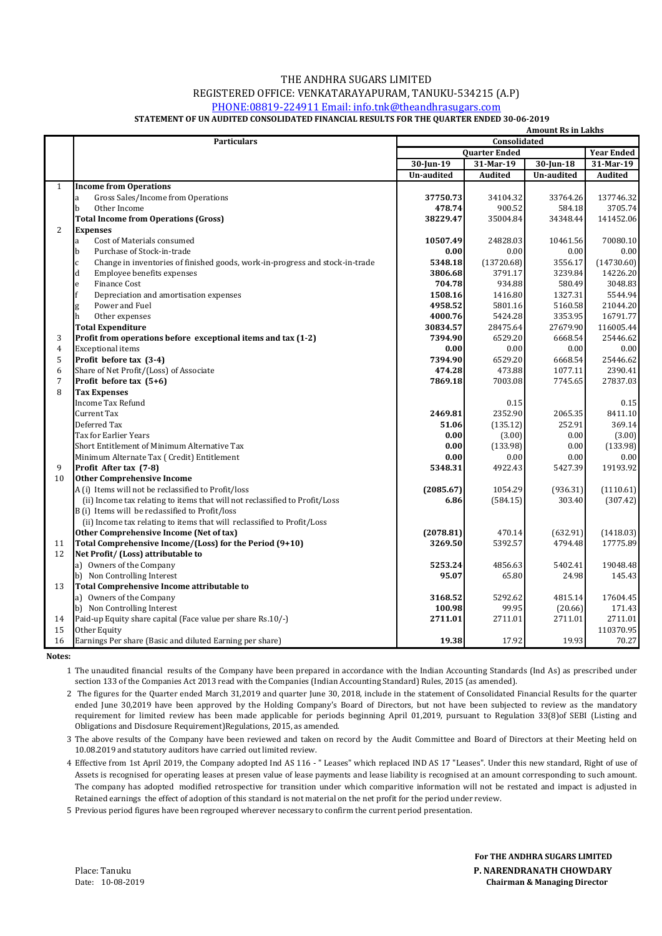### THE ANDHRA SUGARS LIMITED REGISTERED OFFICE: VENKATARAYAPURAM, TANUKU-534215 (A.P) [P](mailto:info.tnk@the)HONE:08819-224911 Email: info.tnk@theandhrasugars.com

#### **STATEMENT OF UN AUDITED CONSOLIDATED FINANCIAL RESULTS FOR THE QUARTER ENDED 30-06-2019**

|                |                                                                                              | <b>Amount Rs in Lakhs</b> |                      |              |                   |
|----------------|----------------------------------------------------------------------------------------------|---------------------------|----------------------|--------------|-------------------|
|                | <b>Particulars</b>                                                                           | Consolidated              |                      |              |                   |
|                |                                                                                              |                           | <b>Quarter Ended</b> |              | <b>Year Ended</b> |
|                |                                                                                              | 30-Jun-19                 | 31-Mar-19            | $30$ -Jun-18 | 31-Mar-19         |
|                |                                                                                              | Un-audited                | <b>Audited</b>       | Un-audited   | <b>Audited</b>    |
| $\mathbf{1}$   | <b>Income from Operations</b>                                                                |                           |                      |              |                   |
|                | Gross Sales/Income from Operations<br>a                                                      | 37750.73                  | 34104.32             | 33764.26     | 137746.32         |
|                | b<br>Other Income                                                                            | 478.74                    | 900.52               | 584.18       | 3705.74           |
|                | <b>Total Income from Operations (Gross)</b>                                                  | 38229.47                  | 35004.84             | 34348.44     | 141452.06         |
| 2              | <b>Expenses</b>                                                                              |                           |                      |              |                   |
|                | Cost of Materials consumed<br>a                                                              | 10507.49                  | 24828.03             | 10461.56     | 70080.10          |
|                | Purchase of Stock-in-trade<br>b                                                              | 0.00                      | 0.00                 | 0.00         | 0.00              |
|                | $\mathbf{c}$<br>Change in inventories of finished goods, work-in-progress and stock-in-trade | 5348.18                   | (13720.68)           | 3556.17      | (14730.60)        |
|                | $\rm d$<br>Employee benefits expenses                                                        | 3806.68                   | 3791.17              | 3239.84      | 14226.20          |
|                | <b>Finance Cost</b><br>$\mathbf{e}$                                                          | 704.78                    | 934.88               | 580.49       | 3048.83           |
|                | Depreciation and amortisation expenses                                                       | 1508.16                   | 1416.80              | 1327.31      | 5544.94           |
|                | Power and Fuel<br>g                                                                          | 4958.52                   | 5801.16              | 5160.58      | 21044.20          |
|                | h<br>Other expenses                                                                          | 4000.76                   | 5424.28              | 3353.95      | 16791.77          |
|                | <b>Total Expenditure</b>                                                                     | 30834.57                  | 28475.64             | 27679.90     | 116005.44         |
| 3              | Profit from operations before exceptional items and tax (1-2)                                | 7394.90                   | 6529.20              | 6668.54      | 25446.62          |
| 4              | <b>Exceptional items</b>                                                                     | 0.00                      | 0.00                 | 0.00         | 0.00              |
| 5              | Profit before tax (3-4)                                                                      | 7394.90                   | 6529.20              | 6668.54      | 25446.62          |
| 6              | Share of Net Profit/(Loss) of Associate                                                      | 474.28                    | 473.88               | 1077.11      | 2390.41           |
| $\overline{7}$ | Profit before tax (5+6)                                                                      | 7869.18                   | 7003.08              | 7745.65      | 27837.03          |
| 8              | <b>Tax Expenses</b>                                                                          |                           |                      |              |                   |
|                | <b>Income Tax Refund</b>                                                                     |                           | 0.15                 |              | 0.15              |
|                | Current Tax                                                                                  | 2469.81                   | 2352.90              | 2065.35      | 8411.10           |
|                | Deferred Tax                                                                                 | 51.06                     | (135.12)             | 252.91       | 369.14            |
|                | Tax for Earlier Years                                                                        | 0.00                      | (3.00)               | 0.00         | (3.00)            |
|                | Short Entitlement of Minimum Alternative Tax                                                 | 0.00                      | (133.98)             | 0.00         | (133.98)          |
|                | Minimum Alternate Tax (Credit) Entitlement                                                   | 0.00                      | 0.00                 | 0.00         | 0.00              |
| 9              | Profit After tax (7-8)                                                                       | 5348.31                   | 4922.43              | 5427.39      | 19193.92          |
| 10             | <b>Other Comprehensive Income</b>                                                            |                           |                      |              |                   |
|                | A (i) Items will not be reclassified to Profit/loss                                          | (2085.67)                 | 1054.29              | (936.31)     | (1110.61)         |
|                | (ii) Income tax relating to items that will not reclassified to Profit/Loss                  | 6.86                      | (584.15)             | 303.40       | (307.42)          |
|                | B (i) Items will be reclassified to Profit/loss                                              |                           |                      |              |                   |
|                | (ii) Income tax relating to items that will reclassified to Profit/Loss                      |                           |                      |              |                   |
|                | Other Comprehensive Income (Net of tax)                                                      | (2078.81)                 | 470.14               | (632.91)     | (1418.03)         |
| 11             | Total Comprehensive Income/(Loss) for the Period (9+10)                                      | 3269.50                   | 5392.57              | 4794.48      | 17775.89          |
| 12             | Net Profit/ (Loss) attributable to                                                           |                           |                      |              |                   |
|                | a) Owners of the Company                                                                     | 5253.24                   | 4856.63              | 5402.41      | 19048.48          |
|                | b) Non Controlling Interest                                                                  | 95.07                     | 65.80                | 24.98        | 145.43            |
| 13             | Total Comprehensive Income attributable to                                                   |                           |                      |              |                   |
|                | a) Owners of the Company                                                                     | 3168.52                   | 5292.62              | 4815.14      | 17604.45          |
|                | b) Non Controlling Interest                                                                  | 100.98                    | 99.95                | (20.66)      | 171.43            |
| 14             | Paid-up Equity share capital (Face value per share Rs.10/-)                                  | 2711.01                   | 2711.01              | 2711.01      | 2711.01           |
| 15             | Other Equity                                                                                 |                           |                      |              | 110370.95         |
| 16             | Earnings Per share (Basic and diluted Earning per share)                                     | 19.38                     | 17.92                | 19.93        | 70.27             |

**Notes:**

1 The unaudited financial results of the Company have been prepared in accordance with the Indian Accounting Standards (Ind As) as prescribed under section 133 of the Companies Act 2013 read with the Companies (Indian Accounting Standard) Rules, 2015 (as amended).

2 The figures for the Quarter ended March 31,2019 and quarter June 30, 2018, include in the statement of Consolidated Financial Results for the quarter ended June 30,2019 have been approved by the Holding Company's Board of Directors, but not have been subjected to review as the mandatory requirement for limited review has been made applicable for periods beginning April 01,2019, pursuant to Regulation 33(8)of SEBI (Listing and Obligations and Disclosure Requirement)Regulations, 2015, as amended.

3 The above results of the Company have been reviewed and taken on record by the Audit Committee and Board of Directors at their Meeting held on 10.08.2019 and statutory auditors have carried out limited review.

4 Effective from 1st April 2019, the Company adopted Ind AS 116 - " Leases" which replaced IND AS 17 "Leases". Under this new standard, Right of use of Assets is recognised for operating leases at presen value of lease payments and lease liability is recognised at an amount corresponding to such amount. The company has adopted modified retrospective for transition under which comparitive information will not be restated and impact is adjusted in Retained earnings the effect of adoption of this standard is not material on the net profit for the period under review.

5 Previous period figures have been regrouped wherever necessary to confirm the current period presentation.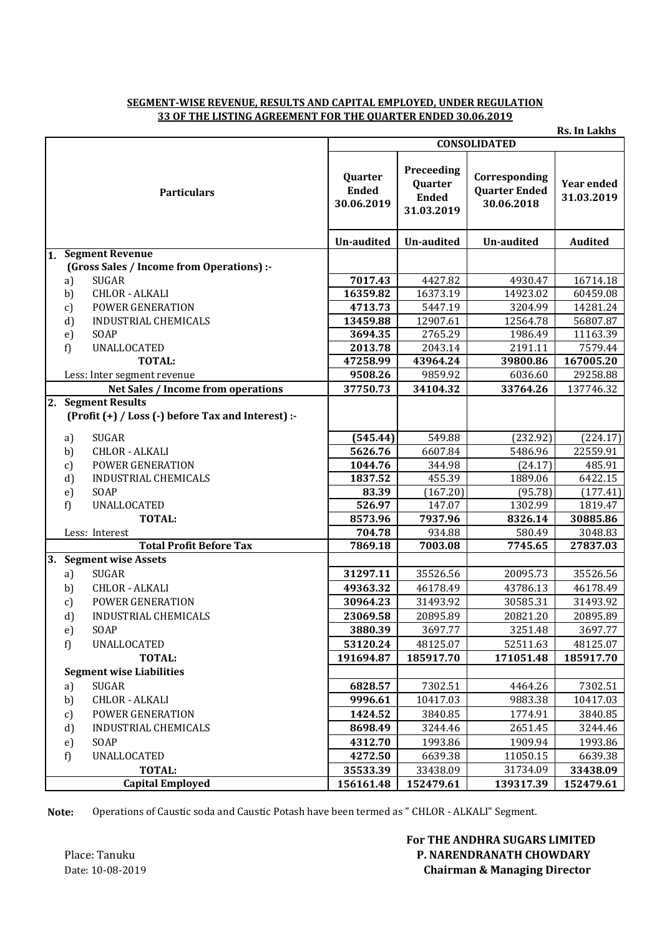## **SEGMENT-WISE REVENUE, RESULTS AND CAPITAL EMPLOYED, UNDER REGULATION 33 OF THE LISTING AGREEMENT FOR THE QUARTER ENDED 30.06.2019**

|                         |                                                    |                                       |                                                     |                                                     | <b>Rs. In Lakhs</b>             |
|-------------------------|----------------------------------------------------|---------------------------------------|-----------------------------------------------------|-----------------------------------------------------|---------------------------------|
|                         |                                                    | <b>CONSOLIDATED</b>                   |                                                     |                                                     |                                 |
| <b>Particulars</b>      |                                                    | Quarter<br><b>Ended</b><br>30.06.2019 | Preceeding<br>Quarter<br><b>Ended</b><br>31.03.2019 | Corresponding<br><b>Quarter Ended</b><br>30.06.2018 | <b>Year ended</b><br>31.03.2019 |
|                         |                                                    | Un-audited                            | Un-audited                                          | <b>Un-audited</b>                                   | <b>Audited</b>                  |
| 1.                      | <b>Segment Revenue</b>                             |                                       |                                                     |                                                     |                                 |
|                         | (Gross Sales / Income from Operations) :-          |                                       |                                                     |                                                     |                                 |
|                         | <b>SUGAR</b><br>a)                                 | 7017.43                               | 4427.82                                             | 4930.47                                             | 16714.18                        |
|                         | <b>CHLOR - ALKALI</b><br>b)                        | 16359.82                              | 16373.19                                            | 14923.02                                            | 60459.08                        |
|                         | POWER GENERATION<br>c)                             | 4713.73                               | 5447.19                                             | 3204.99                                             | 14281.24                        |
|                         | d)<br>INDUSTRIAL CHEMICALS                         | 13459.88                              | 12907.61                                            | 12564.78                                            | 56807.87                        |
|                         | e)<br>SOAP                                         | 3694.35                               | 2765.29                                             | 1986.49                                             | 11163.39                        |
|                         | f)<br><b>UNALLOCATED</b>                           | 2013.78                               | 2043.14                                             | 2191.11                                             | 7579.44                         |
|                         | <b>TOTAL:</b>                                      | 47258.99                              | 43964.24                                            | 39800.86                                            | 167005.20                       |
|                         | Less: Inter segment revenue                        | 9508.26                               | 9859.92                                             | 6036.60                                             | 29258.88                        |
|                         | Net Sales / Income from operations                 | 37750.73                              | 34104.32                                            | 33764.26                                            | 137746.32                       |
|                         | 2. Segment Results                                 |                                       |                                                     |                                                     |                                 |
|                         | (Profit (+) / Loss (-) before Tax and Interest) :- |                                       |                                                     |                                                     |                                 |
|                         | <b>SUGAR</b><br>a)                                 | (545.44)                              | 549.88                                              | (232.92)                                            | (224.17)                        |
|                         | <b>CHLOR - ALKALI</b><br>b)                        | 5626.76                               | 6607.84                                             | 5486.96                                             | 22559.91                        |
|                         | POWER GENERATION<br>c)                             | 1044.76                               | 344.98                                              | (24.17)                                             | 485.91                          |
|                         | d)<br><b>INDUSTRIAL CHEMICALS</b>                  | 1837.52                               | 455.39                                              | 1889.06                                             | 6422.15                         |
|                         | SOAP<br>e)                                         | 83.39                                 | (167.20)                                            | (95.78)                                             | (177.41)                        |
|                         | UNALLOCATED<br>f)                                  | 526.97                                | 147.07                                              | 1302.99                                             | 1819.47                         |
|                         | <b>TOTAL:</b>                                      | 8573.96                               | 7937.96                                             | 8326.14                                             | 30885.86                        |
|                         | Less: Interest                                     | 704.78                                | 934.88                                              | 580.49                                              | 3048.83                         |
|                         | <b>Total Profit Before Tax</b>                     | 7869.18                               | 7003.08                                             | 7745.65                                             | 27837.03                        |
|                         | 3. Segment wise Assets                             |                                       |                                                     |                                                     |                                 |
|                         | <b>SUGAR</b><br>a)                                 | 31297.11                              | 35526.56                                            | 20095.73                                            | 35526.56                        |
|                         | <b>CHLOR - ALKALI</b><br>b)                        | 49363.32                              | 46178.49                                            | 43786.13                                            | 46178.49                        |
|                         | <b>POWER GENERATION</b><br>c)                      | 30964.23                              | 31493.92                                            | 30585.31                                            | 31493.92                        |
|                         | d)<br>INDUSTRIAL CHEMICALS                         | 23069.58                              | 20895.89                                            | 20821.20                                            | 20895.89                        |
|                         | SOAP<br>e)                                         | 3880.39                               | 3697.77                                             | 3251.48                                             | 3697.77                         |
|                         | f)<br>UNALLOCATED                                  | 53120.24                              | 48125.07                                            | 52511.63                                            | 48125.07                        |
|                         | <b>TOTAL:</b>                                      | 191694.87                             | 185917.70                                           | 171051.48                                           | 185917.70                       |
|                         | <b>Segment wise Liabilities</b>                    |                                       |                                                     |                                                     |                                 |
|                         | <b>SUGAR</b><br>a)                                 | 6828.57                               | 7302.51                                             | 4464.26                                             | 7302.51                         |
|                         | <b>CHLOR - ALKALI</b><br>b)                        | 9996.61                               | 10417.03                                            | 9883.38                                             | 10417.03                        |
|                         | POWER GENERATION<br>c)                             | 1424.52                               | 3840.85                                             | 1774.91                                             | 3840.85                         |
|                         | d)<br>INDUSTRIAL CHEMICALS                         | 8698.49                               | 3244.46                                             | 2651.45                                             | 3244.46                         |
|                         | SOAP<br>e)                                         | 4312.70                               | 1993.86                                             | 1909.94                                             | 1993.86                         |
|                         | f)<br>UNALLOCATED                                  | 4272.50                               | 6639.38                                             | 11050.15                                            | 6639.38                         |
|                         | <b>TOTAL:</b>                                      | 35533.39                              | 33438.09                                            | 31734.09                                            | 33438.09                        |
| <b>Capital Employed</b> |                                                    | 156161.48                             | 152479.61                                           | 139317.39                                           | 152479.61                       |

**Note:** Operations of Caustic soda and Caustic Potash have been termed as " CHLOR - ALKALI" Segment.

 **For THE ANDHRA SUGARS LIMITED** Place: Tanuku **Place: Tanuku** P. NARENDRANATH CHOWDARY Date: 10-08-2019 **Chairman & Managing Director**